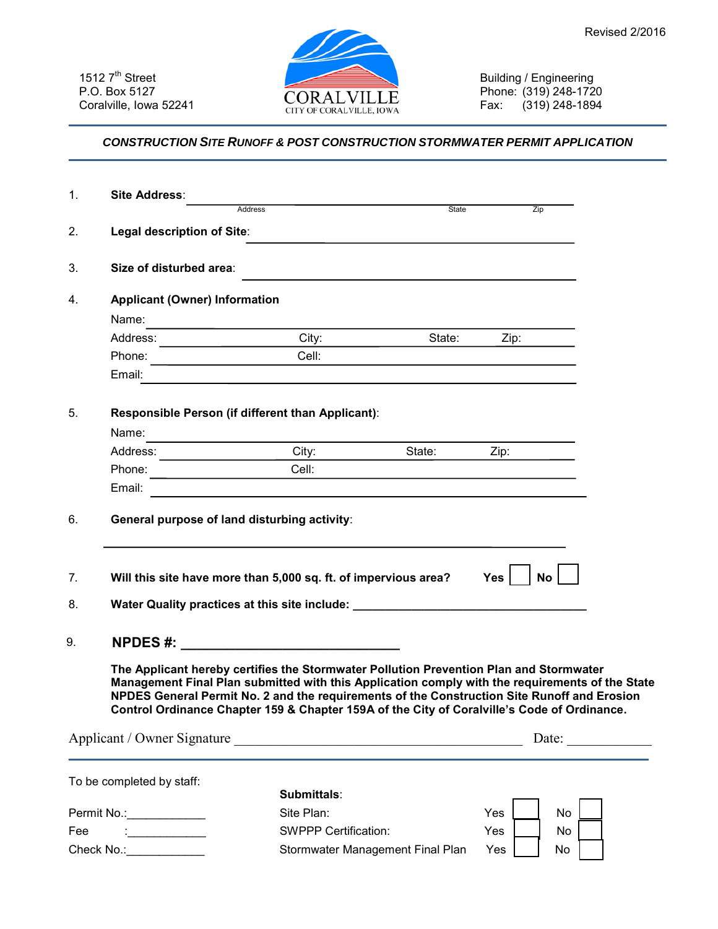

Building / Engineering Phone: (319) 248-1720 Fax: (319) 248-1894

## *CONSTRUCTION SITE RUNOFF & POST CONSTRUCTION STORMWATER PERMIT APPLICATION*

| 1.                                                                                                                                                                                                                                                                                                                                                                                      | Site Address:                                                                    |                                                                                                                                |                                                                                                                  |                                    |  |
|-----------------------------------------------------------------------------------------------------------------------------------------------------------------------------------------------------------------------------------------------------------------------------------------------------------------------------------------------------------------------------------------|----------------------------------------------------------------------------------|--------------------------------------------------------------------------------------------------------------------------------|------------------------------------------------------------------------------------------------------------------|------------------------------------|--|
|                                                                                                                                                                                                                                                                                                                                                                                         | Address                                                                          |                                                                                                                                | State                                                                                                            | Zip                                |  |
| 2.                                                                                                                                                                                                                                                                                                                                                                                      | Legal description of Site:                                                       |                                                                                                                                |                                                                                                                  |                                    |  |
|                                                                                                                                                                                                                                                                                                                                                                                         |                                                                                  |                                                                                                                                |                                                                                                                  |                                    |  |
| 3.                                                                                                                                                                                                                                                                                                                                                                                      | Size of disturbed area:                                                          |                                                                                                                                | and the control of the control of the control of the control of the control of the control of the control of the |                                    |  |
| 4.                                                                                                                                                                                                                                                                                                                                                                                      | <b>Applicant (Owner) Information</b>                                             |                                                                                                                                |                                                                                                                  |                                    |  |
|                                                                                                                                                                                                                                                                                                                                                                                         | Name:                                                                            | <u> 1989 - Johann Stein, mars an deus Amerikaansk kommunister (</u>                                                            |                                                                                                                  |                                    |  |
|                                                                                                                                                                                                                                                                                                                                                                                         |                                                                                  | City: $\qquad \qquad$                                                                                                          | State:                                                                                                           | Zip:                               |  |
|                                                                                                                                                                                                                                                                                                                                                                                         |                                                                                  | Cell:                                                                                                                          |                                                                                                                  |                                    |  |
|                                                                                                                                                                                                                                                                                                                                                                                         | Email:                                                                           | <u> 1989 - Andrea Santa Andrea Santa Andrea Santa Andrea Santa Andrea Santa Andrea Santa Andrea Santa Andrea San</u>           |                                                                                                                  |                                    |  |
|                                                                                                                                                                                                                                                                                                                                                                                         |                                                                                  |                                                                                                                                |                                                                                                                  |                                    |  |
| 5.                                                                                                                                                                                                                                                                                                                                                                                      | Responsible Person (if different than Applicant):                                |                                                                                                                                |                                                                                                                  |                                    |  |
|                                                                                                                                                                                                                                                                                                                                                                                         | Name:                                                                            | <u> 1989 - Johann Barn, mars eta bainar eta politikaria (h. 1989).</u><br>1900 - Johann Barn, margolaria politikari (h. 1900). |                                                                                                                  |                                    |  |
|                                                                                                                                                                                                                                                                                                                                                                                         | Address: City:                                                                   |                                                                                                                                | State:                                                                                                           | Zip:                               |  |
|                                                                                                                                                                                                                                                                                                                                                                                         | Phone: <u>__________________________</u>                                         | Cell:                                                                                                                          |                                                                                                                  |                                    |  |
|                                                                                                                                                                                                                                                                                                                                                                                         | Email:                                                                           | <u> 1989 - Johann John Stone, market fan it ferstjer fan de fan it ferstjer fan it ferstjer fan it ferstjer fan i</u>          |                                                                                                                  |                                    |  |
| 6.                                                                                                                                                                                                                                                                                                                                                                                      | General purpose of land disturbing activity:                                     |                                                                                                                                |                                                                                                                  |                                    |  |
| 7.                                                                                                                                                                                                                                                                                                                                                                                      | Will this site have more than 5,000 sq. ft. of impervious area?                  |                                                                                                                                |                                                                                                                  | <b>No</b><br>$Yes \mid \cdot \mid$ |  |
| 8.                                                                                                                                                                                                                                                                                                                                                                                      | Water Quality practices at this site include: __________________________________ |                                                                                                                                |                                                                                                                  |                                    |  |
| 9.                                                                                                                                                                                                                                                                                                                                                                                      |                                                                                  |                                                                                                                                |                                                                                                                  |                                    |  |
|                                                                                                                                                                                                                                                                                                                                                                                         |                                                                                  |                                                                                                                                |                                                                                                                  |                                    |  |
| The Applicant hereby certifies the Stormwater Pollution Prevention Plan and Stormwater<br>Management Final Plan submitted with this Application comply with the requirements of the State<br>NPDES General Permit No. 2 and the requirements of the Construction Site Runoff and Erosion<br>Control Ordinance Chapter 159 & Chapter 159A of the City of Coralville's Code of Ordinance. |                                                                                  |                                                                                                                                |                                                                                                                  |                                    |  |
| Applicant / Owner Signature                                                                                                                                                                                                                                                                                                                                                             |                                                                                  |                                                                                                                                |                                                                                                                  | Date: $\qquad \qquad \qquad$       |  |
|                                                                                                                                                                                                                                                                                                                                                                                         |                                                                                  |                                                                                                                                |                                                                                                                  |                                    |  |
|                                                                                                                                                                                                                                                                                                                                                                                         | To be completed by staff:                                                        |                                                                                                                                |                                                                                                                  |                                    |  |
|                                                                                                                                                                                                                                                                                                                                                                                         |                                                                                  | Submittals:                                                                                                                    |                                                                                                                  |                                    |  |
|                                                                                                                                                                                                                                                                                                                                                                                         |                                                                                  | Site Plan:                                                                                                                     |                                                                                                                  | No<br>Yes                          |  |
| Fee                                                                                                                                                                                                                                                                                                                                                                                     |                                                                                  | <b>SWPPP Certification:</b>                                                                                                    |                                                                                                                  | Yes<br><b>No</b>                   |  |
| Check No.: _____________                                                                                                                                                                                                                                                                                                                                                                |                                                                                  |                                                                                                                                | Stormwater Management Final Plan                                                                                 | Yes<br>No                          |  |